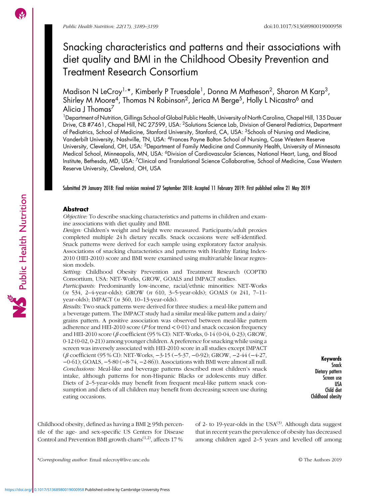Public Health Nutrition

# Snacking characteristics and patterns and their associations with diet quality and BMI in the Childhood Obesity Prevention and Treatment Research Consortium

Madison N LeCroy $^{1/\star}$ , Kimberly P Truesdale $^1$ , Donna M Matheson $^2$ , Sharon M Karp $^3$ , Shirley M Moore<sup>4</sup>, Thomas N Robinson<sup>2</sup>, Jerica M Berge<sup>5</sup>, Holly L Nicastro<sup>6</sup> and Alicia J Thomas $^7$ 

1Department of Nutrition, Gillings School of Global Public Health, University of North Carolina, Chapel Hill, 135 Dauer Drive, CB #7461, Chapel Hill, NC 27599, USA: 2Solutions Science Lab, Division of General Pediatrics, Department of Pediatrics, School of Medicine, Stanford University, Stanford, CA, USA: 3Schools of Nursing and Medicine, Vanderbilt University, Nashville, TN, USA: 4Frances Payne Bolton School of Nursing, Case Western Reserve University, Cleveland, OH, USA: 5Department of Family Medicine and Community Health, University of Minnesota Medical School, Minneapolis, MN, USA: <sup>6</sup>Division of Cardiovascular Sciences, National Heart, Lung, and Blood Institute, Bethesda, MD, USA: 7Clinical and Translational Science Collaborative, School of Medicine, Case Western Reserve University, Cleveland, OH, USA

Submitted 29 January 2018: Final revision received 27 September 2018: Accepted 11 February 2019: First published online 21 May 2019

### **Abstract**

Objective: To describe snacking characteristics and patterns in children and examine associations with diet quality and BMI.

Design: Children's weight and height were measured. Participants/adult proxies completed multiple 24 h dietary recalls. Snack occasions were self-identified. Snack patterns were derived for each sample using exploratory factor analysis. Associations of snacking characteristics and patterns with Healthy Eating Index-2010 (HEI-2010) score and BMI were examined using multivariable linear regression models.

Setting: Childhood Obesity Prevention and Treatment Research (COPTR) Consortium, USA: NET-Works, GROW, GOALS and IMPACT studies.

Participants: Predominantly low-income, racial/ethnic minorities: NET-Works (n 534, 2–4-year-olds); GROW (n 610, 3–5-year-olds); GOALS (n 241, 7–11 year-olds); IMPACT  $(n \frac{360}{10} - 13$ -year-olds).

Results: Two snack patterns were derived for three studies: a meal-like pattern and a beverage pattern. The IMPACT study had a similar meal-like pattern and a dairy/ grains pattern. A positive association was observed between meal-like pattern adherence and HEI-2010 score (P for trend < 0⋅01) and snack occasion frequency and HEI-2010 score ( $\beta$  coefficient (95 % CI): NET-Works, 0⋅14 (0⋅04, 0⋅23); GROW, 0⋅12 (0⋅02, 0⋅21)) among younger children. A preference for snacking while using a screen was inversely associated with HEI-2010 score in all studies except IMPACT (β coefficient (95 % CI): NET-Works, −3⋅15 (−5⋅37, −0⋅92); GROW, −2⋅44 (−4⋅27, −0⋅61); GOALS, −5⋅80 (−8⋅74, −2⋅86)). Associations with BMI were almost all null. Conclusions: Meal-like and beverage patterns described most children's snack intake, although patterns for non-Hispanic Blacks or adolescents may differ. Diets of 2–5-year-olds may benefit from frequent meal-like pattern snack consumption and diets of all children may benefit from decreasing screen use during eating occasions.

Keywords Snack Dietary pattern Screen use USA Child diet Childhood obesity

Childhood obesity, defined as having a BMI  $\geq$  95th percentile of the age- and sex-specific US Centers for Disease Control and Prevention BMI growth charts $(1,2)$ , affects 17 %

of 2- to 19-year-olds in the USA $^{(3)}$ . Although data suggest that in recent years the prevalence of obesity has decreased among children aged 2–5 years and levelled off among

\*Corresponding author: Email [mlecroy@live.unc.edu](mailto:mlecroy@live.unc.edu) © The Authors 2019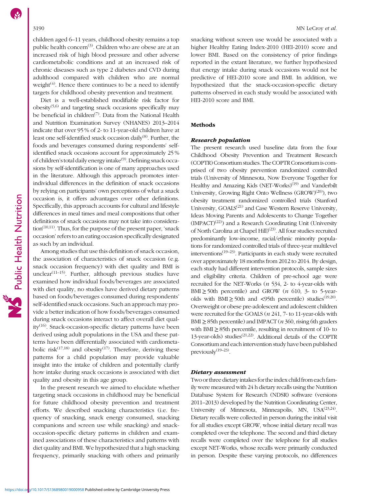children aged 6–11 years, childhood obesity remains a top public health concern<sup>(3)</sup>. Children who are obese are at an increased risk of high blood pressure and other adverse cardiometabolic conditions and at an increased risk of chronic diseases such as type 2 diabetes and CVD during adulthood compared with children who are normal weight<sup> $(4)$ </sup>. Hence there continues to be a need to identify targets for childhood obesity prevention and treatment.

Diet is a well-established modifiable risk factor for  $\omega$ obesity<sup>(5,6)</sup> and targeting snack occasions specifically may be beneficial in children<sup>(7)</sup>. Data from the National Health and Nutrition Examination Survey (NHANES) 2013–2014 indicate that over 95 % of 2- to 11-year-old children have at least one self-identified snack occasion daily(8). Further, the foods and beverages consumed during respondents' selfidentified snack occasions account for approximately 25 % of children's total daily energy intake<sup>(9)</sup>. Defining snack occasions by self-identification is one of many approaches used in the literature. Although this approach promotes interindividual differences in the definition of snack occasions by relying on participants' own perceptions of what a snack occasion is, it offers advantages over other definitions. Specifically, this approach accounts for cultural and lifestyle differences in meal times and meal compositions that other definitions of snack occasions may not take into considera- $\text{tion}^{(10,11)}$ . Thus, for the purpose of the present paper, 'snack occasion' refers to an eating occasion specifically designated as such by an individual.

Among studies that use this definition of snack occasion, the association of characteristics of snack occasion (e.g. snack occasion frequency) with diet quality and BMI is unclear<sup>(11-15)</sup>. Further, although previous studies have examined how individual foods/beverages are associated with diet quality, no studies have derived dietary patterns based on foods/beverages consumed during respondents' self-identified snack occasions. Such an approach may provide a better indication of how foods/beverages consumed during snack occasions interact to affect overall diet quality<sup>(16)</sup>. Snack-occasion-specific dietary patterns have been derived using adult populations in the USA and these patterns have been differentially associated with cardiometabolic risk $(17,18)$  and obesity $(17)$ . Therefore, deriving these patterns for a child population may provide valuable insight into the intake of children and potentially clarify how intake during snack occasions is associated with diet quality and obesity in this age group.

In the present research we aimed to elucidate whether targeting snack occasions in childhood may be beneficial for future childhood obesity prevention and treatment efforts. We described snacking characteristics (i.e. frequency of snacking, snack energy consumed, snacking companions and screen use while snacking) and snackoccasion-specific dietary patterns in children and examined associations of these characteristics and patterns with diet quality and BMI. We hypothesized that a high snacking frequency, primarily snacking with others and primarily

snacking without screen use would be associated with a higher Healthy Eating Index-2010 (HEI-2010) score and lower BMI. Based on the consistency of prior findings reported in the extant literature, we further hypothesized that energy intake during snack occasions would not be predictive of HEI-2010 score and BMI. In addition, we hypothesized that the snack-occasion-specific dietary patterns observed in each study would be associated with HEI-2010 score and BMI.

### Methods

### Research population

The present research used baseline data from the four Childhood Obesity Prevention and Treatment Research (COPTR) Consortium studies. The COPTR Consortium is comprised of two obesity prevention randomized controlled trials (University of Minnesota, Now Everyone Together for Healthy and Amazing Kids (NET-Works)<sup>(19)</sup> and Vanderbilt University, Growing Right Onto Wellness  $(GROW)^{(20)}$ , two obesity treatment randomized controlled trials (Stanford University,  $GOALS<sup>(21)</sup>$  and Case Western Reserve University, Ideas Moving Parents and Adolescents to Change Together  $(MPACT)^{(22)}$ ) and a Research Coordinating Unit (University of North Carolina at Chapel Hill)<sup>(23)</sup>. All four studies recruited predominantly low-income, racial/ethnic minority populations for randomized controlled trials of three-year multilevel interventions $(19-23)$ . Participants in each study were recruited over approximately 18 months from 2012 to 2014. By design, each study had different intervention protocols, sample sizes and eligibility criteria. Children of pre-school age were recruited for the NET-Works (n 534, 2- to 4-year-olds with BMI  $\geq$  50th percentile) and GROW (*n* 610, 3- to 5-yearolds with BMI  $\geq$  50th and <95th percentile) studies<sup>(19,20)</sup>. Overweight or obese pre-adolescent and adolescent children were recruited for the GOALS (*n* 241, 7- to 11-year-olds with BMI  $\geq$  85th percentile) and IMPACT (*n* 360, rising 6th graders with BMI  $\geq$  85th percentile, resulting in recruitment of 10- to 13-year-olds) studies(21,22). Additional details of the COPTR Consortium and each intervention study have been published previously $(19-23)$ .

#### Dietary assessment

Two or three dietary intakes for the index child from each family were measured with 24 h dietary recalls using the Nutrition Database System for Research (NDSR) software (versions 2011–2013) developed by the Nutrition Coordinating Center, University of Minnesota, Minneapolis, MN, USA<sup>(23,24)</sup>. Dietary recalls were collected in person during the initial visit for all studies except GROW, whose initial dietary recall was completed over the telephone. The second and third dietary recalls were completed over the telephone for all studies except NET-Works, whose recalls were primarily conducted in person. Despite these varying protocols, no differences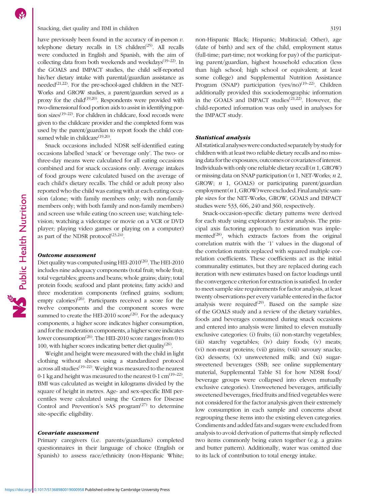#### Snacking, diet quality and BMI in children 3191

have previously been found in the accuracy of in-person  $v$ . telephone dietary recalls in US children<sup> $(25)$ </sup>. All recalls were conducted in English and Spanish, with the aim of collecting data from both weekends and weekdays<sup> $(19-22)$ </sup>. In the GOALS and IMPACT studies, the child self-reported his/her dietary intake with parental/guardian assistance as needed<sup> $(21,22)$ </sup>. For the pre-school-aged children in the NET-Works and GROW studies, a parent/guardian served as a proxy for the child<sup> $(19,20)$ </sup>. Respondents were provided with two-dimensional food portion aids to assist in identifying portion sizes<sup> $(19-22)$ </sup>. For children in childcare, food records were given to the childcare provider and the completed form was used by the parent/guardian to report foods the child consumed while in childcare $(19,20)$ .

Snack occasions included NDSR self-identified eating occasions labelled 'snack' or 'beverage only'. The two- or three-day means were calculated for all eating occasions combined and for snack occasions only. Average intakes of food groups were calculated based on the average of each child's dietary recalls. The child or adult proxy also reported who the child was eating with at each eating occasion (alone; with family members only; with non-family members only; with both family and non-family members) and screen use while eating (no screen use; watching television; watching a videotape or movie on a VCR or DVD player; playing video games or playing on a computer) as part of the NDSR protocol $^{(23,24)}$ .

#### Outcome assessment

Diet quality was computed using HEI-2010<sup>(26)</sup>. The HEI-2010 includes nine adequacy components (total fruit; whole fruit; total vegetables; greens and beans; whole grains; dairy; total protein foods; seafood and plant proteins; fatty acids) and three moderation components (refined grains; sodium; empty calories) $(26)$ . Participants received a score for the twelve components and the component scores were summed to create the HEI-2010 score<sup> $(26)$ </sup>. For the adequacy components, a higher score indicates higher consumption, and for the moderation components, a higher score indicates lower consumption<sup> $(26)$ </sup>. The HEI-2010 score ranges from 0 to 100, with higher scores indicating better diet quality<sup>(26)</sup>.

Weight and height were measured with the child in light clothing without shoes using a standardized protocol across all studies $(19-22)$ . Weight was measured to the nearest 0⋅1 kg and height was measured to the nearest 0⋅1 cm(19–22). BMI was calculated as weight in kilograms divided by the square of height in metres. Age- and sex-specific BMI percentiles were calculated using the Centers for Disease Control and Prevention's SAS program $(27)$  to determine site-specific eligibility.

#### Covariate assessment

Primary caregivers (i.e. parents/guardians) completed questionnaires in their language of choice (English or Spanish) to assess race/ethnicity (non-Hispanic White; non-Hispanic Black; Hispanic; Multiracial; Other), age (date of birth) and sex of the child, employment status (full-time; part-time; not working for pay) of the participating parent/guardian, highest household education (less than high school; high school or equivalent; at least some college) and Supplemental Nutrition Assistance Program (SNAP) participation (yes/no)<sup>(19–22)</sup>. Children additionally provided this sociodemographic information in the GOALS and IMPACT studies<sup> $(21,22)$ </sup>. However, the child-reported information was only used in analyses for the IMPACT study.

#### Statistical analysis

All statistical analyses were conducted separately by studyfor children with at least two reliable dietary recalls and no missing data for the exposures, outcomes or covariates of interest. Individuals with only one reliable dietary recall  $(n 1, \text{GROW})$ or missing data on SNAP participation ( $n$  1, NET-Works;  $n$  2, GROW;  $n$  1, GOALS) or participating parent/guardian  $employment (n1, GROW) were excluded. Final analytic sam$ ple sizes for the NET-Works, GROW, GOALS and IMPACT studies were 533, 606, 240 and 360, respectively.

Snack-occasion-specific dietary patterns were derived for each study using exploratory factor analysis. The principal axis factoring approach to estimation was implemented $^{(28)}$ , which extracts factors from the original correlation matrix with the '1' values in the diagonal of the correlation matrix replaced with squared multiple correlation coefficients. These coefficients act as the initial communality estimates, but they are replaced during each iteration with new estimates based on factor loadings until the convergence criterion for extraction is satisfied. In order to meet sample size requirements for factor analysis, at least twenty observations per every variable entered in the factor analysis were required<sup>(29)</sup>. Based on the sample size of the GOALS study and a review of the dietary variables, foods and beverages consumed during snack occasions and entered into analysis were limited to eleven mutually exclusive categories: (i) fruits; (ii) non-starchy vegetables; (iii) starchy vegetables; (iv) dairy foods; (v) meats; (vi) non-meat proteins; (vii) grains; (viii) savoury snacks; (ix) desserts; (x) unsweetened milk; and (xi) sugarsweetened beverages (SSB; see online supplementary material, Supplemental Table [S1](https://doi.org/10.1017/S1368980019000958) for how NDSR food/ beverage groups were collapsed into eleven mutually exclusive categories). Unsweetened beverages, artificially sweetened beverages, fried fruits and fried vegetables were not considered for the factor analysis given their extremely low consumption in each sample and concerns about regrouping these items into the existing eleven categories. Condiments and added fats and sugars were excluded from analysis to avoid derivation of patterns that simply reflected two items commonly being eaten together (e.g. a grains and butter pattern). Additionally, water was omitted due to its lack of contribution to total energy intake.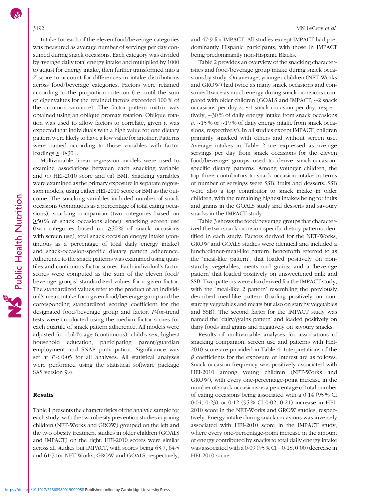Intake for each of the eleven food/beverage categories was measured as average number of servings per day consumed during snack occasions. Each category was divided by average daily total energy intake and multiplied by 1000 to adjust for energy intake, then further transformed into a Z-score to account for differences in intake distributions across food/beverage categories. Factors were retained according to the proportion criterion (i.e. until the sum of eigenvalues for the retained factors exceeded 100 % of the common variance). The factor pattern matrix was obtained using an oblique promax rotation. Oblique rotation was used to allow factors to correlate, given it was expected that individuals with a high value for one dietary pattern were likely to have a low value for another. Patterns were named according to those variables with factor loadings  $\geq |0.30|$ .

Multivariable linear regression models were used to examine associations between each snacking variable and (i) HEI-2010 score and (ii) BMI. Snacking variables were examined as the primary exposure in separate regression models, using either HEI-2010 score or BMI as the outcome. The snacking variables included number of snack occasions (continuous as a percentage of total eating occasions), snacking companion (two categories based on ≥50 % of snack occasions alone), snacking screen use (two categories based on  $\geq 50\%$  of snack occasions with screen use), total snack occasion energy intake (continuous as a percentage of total daily energy intake) and snack-occasion-specific dietary pattern adherence. Adherence to the snack patterns was examined using quartiles and continuous factor scores. Each individual's factor scores were computed as the sum of the eleven food/ beverage groups' standardized values for a given factor. The standardized values refer to the product of an individual's mean intake for a given food/beverage group and the corresponding standardized scoring coefficient for the designated food/beverage group and factor. P-for-trend tests were conducted using the median factor scores for each quartile of snack pattern adherence. All models were adjusted for child's age (continuous), child's sex, highest household education, participating parent/guardian employment and SNAP participation. Significance was set at  $P < 0.05$  for all analyses. All statistical analyses were performed using the statistical software package SAS version 9.4.

#### Results

[Table 1](#page-4-0) presents the characteristics of the analytic sample for each study, with the two obesity prevention studies in young children (NET-Works and GROW) grouped on the left and the two obesity treatment studies in older children (GOALS and IMPACT) on the right. HEI-2010 scores were similar across all studies but IMPACT, with scores being 63⋅7, 64⋅5 and 61⋅7 for NET-Works, GROW and GOALS, respectively, and 47⋅9 for IMPACT. All studies except IMPACT had predominantly Hispanic participants, with those in IMPACT being predominantly non-Hispanic Blacks.

[Table 2](#page-4-0) provides an overview of the snacking characteristics and food/beverage group intake during snack occasions by study. On average, younger children (NET-Works and GROW) had twice as many snack occasions and consumed twice as much energy during snack occasions compared with older children (GOALS and IMPACT; ∼2 snack occasions per day v. ∼1 snack occasion per day, respectively; ∼30 % of daily energy intake from snack occasions v. ∼15 % or ∼19 % of daily energy intake from snack occasions, respectively). In all studies except IMPACT, children primarily snacked with others and without screen use. Average intakes in [Table 2](#page-4-0) are expressed as average servings per day from snack occasions for the eleven food/beverage groups used to derive snack-occasionspecific dietary patterns. Among younger children, the top three contributors to snack occasion intake in terms of number of servings were SSB, fruits and desserts. SSB were also a top contributor to snack intake in older children, with the remaining highest intakes being for fruits and grains in the GOALS study and desserts and savoury snacks in the IMPACT study.

[Table 3](#page-5-0) shows the food/beverage groups that characterized the two snack-occasion-specific dietary patterns identified in each study. Factors derived for the NET-Works, GROW and GOALS studies were identical and included a lunch/dinner-meal-like pattern, henceforth referred to as the 'meal-like pattern', that loaded positively on nonstarchy vegetables, meats and grains; and a 'beverage pattern' that loaded positively on unsweetened milk and SSB. Two patterns were also derived for the IMPACT study, with the 'meal-like 2 pattern' resembling the previously described meal-like pattern (loading positively on nonstarchy vegetables and meats but also on starchy vegetables and SSB). The second factor for the IMPACT study was named the 'dairy/grains pattern' and loaded positively on dairy foods and grains and negatively on savoury snacks.

Results of multivariable analyses for associations of snacking companion, screen use and patterns with HEI-2010 score are provided in [Table 4](#page-5-0). Interpretations of the  $\beta$  coefficients for the exposure of interest are as follows. Snack occasion frequency was positively associated with HEI-2010 among young children (NET-Works and GROW), with every one-percentage-point increase in the number of snack occasions as a percentage of total number of eating occasions being associated with a 0⋅14 (95 % CI 0⋅04, 0⋅23) or 0⋅12 (95 % CI 0⋅02, 0⋅21) increase in HEI-2010 score in the NET-Works and GROW studies, respectively. Energy intake during snack occasions was inversely associated with HEI-2010 score in the IMPACT study, where every one-percentage-point increase in the amount of energy contributed by snacks to total daily energy intake was associated with a 0⋅09 (95 % CI −0⋅18, 0⋅00) decrease in HEI-2010 score.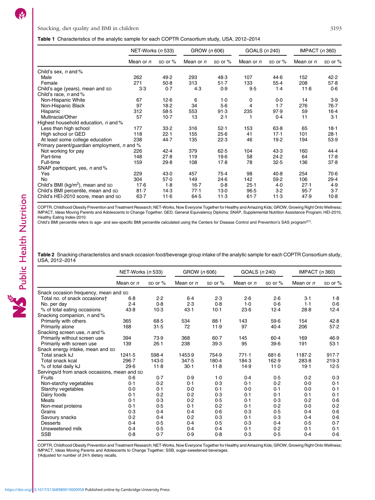Public Health Nutrition

### <span id="page-4-0"></span>Table 1 Characteristics of the analytic sample for each COPTR Consortium study, USA, 2012–2014

|                                             | NET-Works (n 533) |         |           | GROW (n 606) |           | GOALS (n 240) |           | <b>IMPACT</b> (n 360) |  |
|---------------------------------------------|-------------------|---------|-----------|--------------|-----------|---------------|-----------|-----------------------|--|
|                                             | Mean or n         | SD or % | Mean or n | SD or $%$    | Mean or n | SD or $%$     | Mean or n | SD or $%$             |  |
| Child's sex, $n$ and $%$                    |                   |         |           |              |           |               |           |                       |  |
| Male                                        | 262               | 49.2    | 293       | 48.3         | 107       | 44.6          | 152       | 42.2                  |  |
| Female                                      | 271               | 50.8    | 313       | 51.7         | 133       | $55-4$        | 208       | 57.8                  |  |
| Child's age (years), mean and SD            | $3-3$             | 0.7     | 4.3       | 0.9          | 9.5       | 1.4           | 11.6      | 0.6                   |  |
| Child's race, $n$ and $%$                   |                   |         |           |              |           |               |           |                       |  |
| Non-Hispanic White                          | 67                | 12.6    | 6         | $1-0$        | 0         | 0.0           | 14        | 3.9                   |  |
| Non-Hispanic Black                          | 97                | 18.2    | 34        | 5.6          | 4         | $1-7$         | 276       | 76.7                  |  |
| Hispanic                                    | 312               | 58.5    | 553       | 91.3         | 235       | 97.9          | 59        | $16-4$                |  |
| Multiracial/Other                           | 57                | $10-7$  | 13        | 2.1          |           | 0.4           | 11        | 3.1                   |  |
| Highest household education, n and %        |                   |         |           |              |           |               |           |                       |  |
| Less than high school                       | 177               | 33.2    | 316       | 52.1         | 153       | 63.8          | 65        | $18-1$                |  |
| High school or GED                          | 118               | 22.1    | 155       | $25-6$       | 41        | 17.1          | 101       | 28.1                  |  |
| At least some college education             | 238               | 44.7    | 135       | 22.3         | 46        | 19.2          | 194       | 53.9                  |  |
| Primary parent/guardian employment, n and % |                   |         |           |              |           |               |           |                       |  |
| Not working for pay                         | 226               | 42.4    | 379       | 62.5         | 104       | 43.3          | 160       | 44.4                  |  |
| Part-time                                   | 148               | 27.8    | 119       | $19-6$       | 58        | 24.2          | 64        | 17.8                  |  |
| Full-time                                   | 159               | 29.8    | 108       | 17.8         | 78        | 32.5          | 136       | 37.8                  |  |
| SNAP participant, yes, n and %              |                   |         |           |              |           |               |           |                       |  |
| Yes                                         | 229               | 43.0    | 457       | 75.4         | 98        | 40.8          | 254       | 70.6                  |  |
| No                                          | 304               | 57.0    | 149       | $24-6$       | 142       | 59.2          | 106       | 29.4                  |  |
| Child's BMI ( $kg/m2$ ), mean and sp        | $17-6$            | 1.8     | $16-7$    | 0.8          | 25.1      | 4.0           | 27.1      | 4.9                   |  |
| Child's BMI percentile, mean and sp         | $81 - 7$          | 14.3    | 77.1      | 13.0         | 96.5      | 3.2           | $95 - 7$  | $3-7$                 |  |
| Child's HEI-2010 score, mean and sp         | $63 - 7$          | 11.6    | 64.5      | 11.3         | 61.7      | 11.3          | 47.9      | $10-8$                |  |

COPTR, Childhood Obesity Prevention and Treatment Research; NET-Works, Now Everyone Together for Healthy and Amazing Kids; GROW, Growing Right Onto Wellness; IMPACT, Ideas Moving Parents and Adolescents to Change Together; GED, General Equivalency Diploma; SNAP, Supplemental Nutrition Assistance Program; HEI-2010, Healthy Eating Index-2010.<br>Child's BMI percentile refers to age- and sex-specific BMI percentile calculated using the Centers for Disease Control and Prevention's SAS program<sup>(27)</sup>.

Table 2 Snacking characteristics and snack occasion food/beverage group intake of the analytic sample for each COPTR Consortium study, USA, 2012–2014

|                                              | NET-Works (n 533) |         |           | GROW (n 606) |           | GOALS (n 240) | IMPACT $(n360)$ |           |
|----------------------------------------------|-------------------|---------|-----------|--------------|-----------|---------------|-----------------|-----------|
|                                              | Mean or n         | SD or % | Mean or n | SD or $%$    | Mean or n | SD or $%$     | Mean or n       | SD or $%$ |
| Snack occasion frequency, mean and sp        |                   |         |           |              |           |               |                 |           |
| Total no. of snack occasionst                | $6-8$             | 2.2     | 6.4       | 2.3          | 2.6       | 2.6           | $3-1$           | 1.8       |
| No. per day                                  | 2.4               | 0.8     | 2.3       | 0.8          | $1-0$     | 0.6           | 1.1             | 0.6       |
| % of total eating occasions                  | 43.8              | $10-3$  | 43.1      | $10-1$       | $23-6$    | 12.4          | 28.8            | 12.4      |
| Snacking companion, n and %                  |                   |         |           |              |           |               |                 |           |
| Primarily with others                        | 365               | 68.5    | 534       | $88 - 1$     | 143       | 59.6          | 154             | 42.8      |
| Primarily alone                              | 168               | 31.5    | 72        | 11.9         | 97        | 40.4          | 206             | 57.2      |
| Snacking screen use, n and %                 |                   |         |           |              |           |               |                 |           |
| Primarily without screen use                 | 394               | 73.9    | 368       | $60-7$       | 145       | 60.4          | 169             | 46.9      |
| Primarily with screen use                    | 139               | 26.1    | 238       | 39.3         | 95        | 39.6          | 191             | 53.1      |
| Snack energy intake, mean and sp             |                   |         |           |              |           |               |                 |           |
| Total snack kJ                               | 1241.5            | 598.4   | 1453.9    | 754.9        | 771.1     | 681.6         | 1187.2          | 917.7     |
| Total snack kcal                             | $296 - 7$         | 143.0   | 347.5     | 180.4        | 184.3     | 162.9         | 283.8           | 219.3     |
| % of total daily kJ                          | 29.6              | 11.8    | $30-1$    | 11.8         | 14.9      | 11.0          | 19.1            | 12.5      |
| Servings/d from snack occasions, mean and SD |                   |         |           |              |           |               |                 |           |
| Fruits                                       | 0.6               | 0.7     | 0.9       | 1.0          | 0.4       | 0.5           | 0.2             | 0.3       |
| Non-starchy vegetables                       | 0.1               | 0.2     | 0.1       | 0.3          | 0.1       | 0.2           | 0.0             | 0.1       |
| Starchy vegetables                           | 0.0               | 0.1     | 0.0       | 0.1          | 0.0       | 0.1           | 0.0             | 0.1       |
| Dairy foods                                  | 0.1               | 0.2     | 0.2       | 0.3          | 0.1       | 0.1           | 0.1             | 0.1       |
| Meats                                        | 0.1               | 0.3     | 0.2       | 0.5          | 0.1       | 0.3           | 0.2             | 0.6       |
| Non-meat proteins                            | 0.1               | 0.5     | 0.1       | 0.2          | 0.1       | 0.2           | 0.0             | 0.2       |
| Grains                                       | 0.3               | 0.4     | 0.4       | 0.6          | 0.3       | 0.5           | 0.4             | 0.6       |
| Savoury snacks                               | 0.2               | 0.4     | 0.2       | 0.3          | 0.1       | 0.3           | 0.4             | 0.6       |
| <b>Desserts</b>                              | 0.4               | 0.5     | 0.4       | 0.5          | 0.3       | 0.4           | 0.5             | 0.7       |
| Unsweetened milk                             | 0.4               | 0.5     | 0.4       | 0.4          | 0.1       | 0.2           | 0.1             | 0.1       |
| <b>SSB</b>                                   | 0.8               | 0.7     | 0.9       | 0.8          | 0.3       | 0.5           | 0.4             | 0.6       |

COPTR, Childhood Obesity Prevention and Treatment Research; NET-Works, Now Everyone Together for Healthy and Amazing Kids; GROW, Growing Right Onto Wellness;<br>IMPACT, Ideas Moving Parents and Adolescents to Change Together;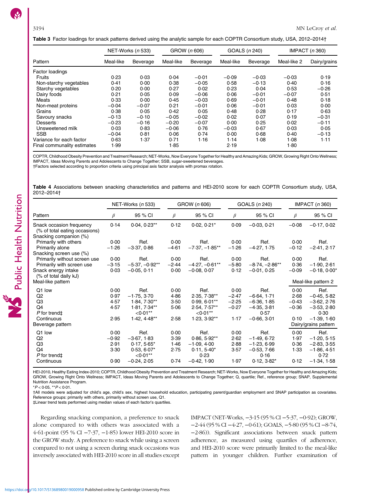<span id="page-5-0"></span>Table 3 Factor loadings for snack patterns derived using the analytic sample for each COPTR Consortium study, USA, 2012–2014†

|                             | NET-Works $(n 533)$ |          | GROW (n 606) |          |           | GOALS (n 240) | IMPACT $(n 360)$ |              |
|-----------------------------|---------------------|----------|--------------|----------|-----------|---------------|------------------|--------------|
| Pattern                     | Meal-like           | Beverage | Meal-like    | Beverage | Meal-like | Beverage      | Meal-like 2      | Dairy/grains |
| Factor loadings             |                     |          |              |          |           |               |                  |              |
| Fruits                      | 0.23                | 0.03     | 0.04         | $-0.01$  | $-0.09$   | $-0.03$       | $-0.03$          | 0.19         |
| Non-starchy vegetables      | 0.41                | 0.00     | 0.38         | $-0.05$  | 0.58      | $-0.13$       | 0.40             | 0.16         |
| Starchy vegetables          | 0.20                | 0.00     | 0.27         | 0.02     | 0.23      | 0.04          | 0.53             | $-0.26$      |
| Dairy foods                 | 0.21                | 0.05     | 0.09         | $-0.06$  | 0.06      | $-0.01$       | $-0.07$          | 0.51         |
| Meats                       | 0.33                | 0.00     | 0.45         | $-0.03$  | 0.69      | $-0.01$       | 0.48             | 0.18         |
| Non-meat proteins           | $-0.04$             | $-0.07$  | 0.21         | $-0.01$  | 0.06      | $-0.01$       | 0.03             | 0.00         |
| Grains                      | 0.38                | 0.05     | 0.42         | 0.05     | 0.48      | 0.28          | 0.17             | 0.63         |
| Savoury snacks              | $-0.13$             | $-0.10$  | $-0.05$      | $-0.02$  | 0.02      | 0.07          | 0.19             | $-0.31$      |
| <b>Desserts</b>             | $-0.23$             | $-0.16$  | $-0.20$      | $-0.07$  | 0.00      | 0.25          | 0.02             | $-0.11$      |
| Unsweetened milk            | 0.03                | 0.83     | $-0.06$      | 0.76     | $-0.03$   | 0.67          | 0.03             | 0.05         |
| <b>SSB</b>                  | $-0.04$             | 0.81     | 0.06         | 0.74     | 0.00      | 0.68          | 0.40             | $-0.13$      |
| Variance for each factor    | 0.63                | 1.37     | 0.71         | 1.16     | 1.14      | 1.08          | 1.08             | 1.11         |
| Final communality estimates | 1.99                |          | 1.85         |          | 2.19      |               | 1.80             |              |

COPTR, Childhood Obesity Prevention and Treatment Research; NET-Works, Now Everyone Together for Healthy and Amazing Kids; GROW, Growing Right Onto Wellness; IMPACT, Ideas Moving Parents and Adolescents to Change Together; SSB, sugar-sweetened beverages.

†Factors selected according to proportion criteria using principal axis factor analysis with promax rotation.

Table 4 Associations between snacking characteristics and patterns and HEI-2010 score for each COPTR Consortium study, USA, 2012–2014†

|                                                                                                    | NET-Works (n 533)                       |                                                                                         |                                      | GROW (n 606)                                                                             |                                               | GOALS (n 240)                                                                    | <b>IMPACT</b> ( <i>n</i> 360)              |                                                                                                        |
|----------------------------------------------------------------------------------------------------|-----------------------------------------|-----------------------------------------------------------------------------------------|--------------------------------------|------------------------------------------------------------------------------------------|-----------------------------------------------|----------------------------------------------------------------------------------|--------------------------------------------|--------------------------------------------------------------------------------------------------------|
| Pattern                                                                                            | β                                       | 95 % CI                                                                                 | $\beta$                              | 95 % CI                                                                                  | β                                             | 95 % CI                                                                          | β                                          | 95 % CI                                                                                                |
| Snack occasion frequency<br>(% of total eating occasions)                                          | 0.14                                    | $0.04, 0.23**$                                                                          | 0.12                                 | $0.02, 0.21*$                                                                            | 0.09                                          | $-0.03, 0.21$                                                                    | $-0.08$                                    | $-0.17, 0.02$                                                                                          |
| Snacking companion (%)<br>Primarily with others<br>Primarily alone<br>Snacking screen use (%)      | 0.00<br>$-1.26$                         | Ref.<br>$-3.37, 0.86$                                                                   | 0.00<br>$-4.61$                      | Ref.<br>$-7.37, -1.85**$                                                                 | 0.00<br>$-1.26$                               | Ref.<br>$-4.27, 1.75$                                                            | 0.00<br>$-0.12$                            | Ref.<br>$-2.41, 2.17$                                                                                  |
| Primarily without screen use<br>Primarily with screen use<br>Snack energy intake                   | 0.00<br>$-3.15$<br>0.03                 | Ref.<br>$-5.37, -0.92**$<br>$-0.05, 0.11$                                               | 0.00<br>$-2.44$<br>0.00              | Ref.<br>$-4.27, -0.61**$<br>$-0.08, 0.07$                                                | 0.00<br>$-5.80$<br>0.12                       | Ref.<br>$-8.74, -2.86**$<br>$-0.01, 0.25$                                        | 0.00<br>0.36<br>$-0.09$                    | Ref.<br>$-1.90, 2.61$<br>$-0.18, 0.00*$                                                                |
| (% of total daily kJ)<br>Meal-like pattern                                                         |                                         |                                                                                         |                                      |                                                                                          |                                               |                                                                                  |                                            | Meal-like pattern 2                                                                                    |
| Q1 low<br>Q <sub>2</sub><br>Q3<br>Q4<br>$P$ for trend $\ddagger$<br>Continuous<br>Beverage pattern | 0.00<br>0.97<br>4.57<br>4.57<br>2.95    | Ref.<br>$-1.75, 3.70$<br>$1.84.7.30**$<br>$1.81, 7.34**$<br>$<0.01**$<br>$1.42, 4.48**$ | 0.00<br>4.86<br>3.50<br>5.06<br>2.58 | Ref.<br>2.35, 7.38**<br>$0.99, 6.01**$<br>$2.54, 7.57**$<br>$< 0.01**$<br>$1.23, 3.92**$ | 0.00<br>$-2.47$<br>$-2.25$<br>$-0.27$<br>1.17 | Ref.<br>$-6.64, 1.71$<br>$-6.36, 1.85$<br>$-4.35, 3.81$<br>0.57<br>$-0.66, 3.01$ | 0.00<br>2.68<br>$-0.43$<br>$-0.36$<br>0.10 | Ref.<br>$-0.45, 5.82$<br>$-3.62, 2.76$<br>$-3.53, 2.80$<br>0.30<br>$-1.39.160$<br>Dairy/grains pattern |
| Q1 low<br>Q <sub>2</sub><br>Q3<br>Q4<br>$P$ for trend $\ddagger$<br>Continuous                     | 0.00<br>$-0.92$<br>2.91<br>3.30<br>0.90 | Ref.<br>$-3.67, 1.83$<br>$0.17.5.65*$<br>$0.53, 6.07*$<br>$< 0.01**$<br>$-0.24, 2.05$   | 0.00<br>3.39<br>1.46<br>2.75<br>0.74 | Ref.<br>$0.86, 5.92**$<br>$-1.09.4.00$<br>$0.11, 5.40*$<br>0.23<br>$-0.42, 1.90$         | 0.00<br>2.62<br>2.88<br>3.57<br>1.97          | Ref.<br>$-1.49, 6.72$<br>$-1.23, 6.99$<br>$-0.53, 7.66$<br>0.16<br>$0.12, 3.82*$ | 0.00<br>1.97<br>0.36<br>1.33<br>0.12       | Ref.<br>$-1.20, 5.15$<br>$-2.83, 3.55$<br>$-1.86, 4.51$<br>0.72<br>$-1.34, 1.58$                       |

HEI-2010, Healthy Eating Index-2010; COPTR, Childhood Obesity Prevention and Treatment Research; NET-Works, Now Everyone Together for Healthy and Amazing Kids; GROW, Growing Right Onto Wellness; IMPACT, Ideas Moving Parents and Adolescents to Change Together; Q, quartile; Ref., reference group; SNAP, Supplemental Nutrition Assistance Program.

 $*P < 0.05$ ,  $*P < 0.01$ .

†All models were adjusted for child's age, child's sex, highest household education, participating parent/guardian employment and SNAP participation as covariates. Reference groups: primarily with others, primarily without screen use, Q1.

‡Linear trend tests performed using median values of each factor's quartiles.

Regarding snacking companion, a preference to snack alone compared to with others was associated with a 4⋅61-point (95 % CI −7⋅37, −1⋅85) lower HEI-2010 score in the GROW study. A preference to snack while using a screen compared to not using a screen during snack occasions was inversely associated with HEI-2010 score in all studies except IMPACT (NET-Works, −3⋅15 (95 % CI −5⋅37, −0⋅92); GROW, −2⋅44 (95 % CI −4⋅27, −0⋅61); GOALS, −5⋅80 (95 % CI −8⋅74, −2⋅86)). Significant associations between snack pattern adherence, as measured using quartiles of adherence, and HEI-2010 score were primarily limited to the meal-like pattern in younger children. Further examination of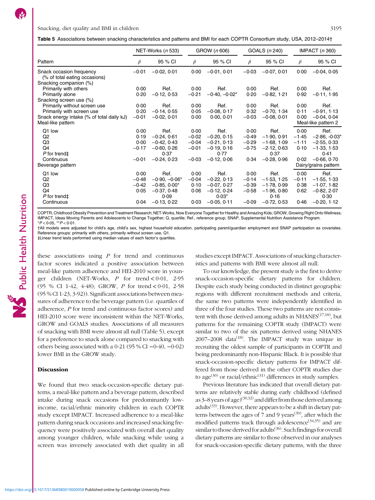| Table 5 Associations between snacking characteristics and patterns and BMI for each COPTR Consortium study, USA, 2012-2014† |  |
|-----------------------------------------------------------------------------------------------------------------------------|--|
|-----------------------------------------------------------------------------------------------------------------------------|--|

|                                                                                                                             | NET-Works (n 533)                          |                                                                                     |                                                  | GROW (n 606)                                                                        |                                                  | GOALS (n 240)                                                                    |                                            | <b>IMPACT</b> (n 360)                                                                                      |  |
|-----------------------------------------------------------------------------------------------------------------------------|--------------------------------------------|-------------------------------------------------------------------------------------|--------------------------------------------------|-------------------------------------------------------------------------------------|--------------------------------------------------|----------------------------------------------------------------------------------|--------------------------------------------|------------------------------------------------------------------------------------------------------------|--|
| Pattern                                                                                                                     | β                                          | 95 % CI                                                                             | $\beta$                                          | 95 % CI                                                                             | $\beta$                                          | 95 % CI                                                                          | $\beta$                                    | 95 % CI                                                                                                    |  |
| Snack occasion frequency<br>(% of total eating occasions)<br>Snacking companion (%)                                         | $-0.01$                                    | $-0.02, 0.01$                                                                       | 0.00                                             | $-0.01, 0.01$                                                                       | $-0.03$                                          | $-0.07, 0.01$                                                                    | 0.00                                       | $-0.04, 0.05$                                                                                              |  |
| Primarily with others<br>Primarily alone<br>Snacking screen use (%)                                                         | 0.00<br>0.20                               | Ref.<br>$-0.12, 0.53$                                                               | 0.00<br>$-0.21$                                  | Ref.<br>$-0.40, -0.02*$                                                             | 0.00<br>0.20                                     | Ref.<br>$-0.82, 1.21$                                                            | 0.00<br>0.92                               | Ref.<br>$-0.11, 1.95$                                                                                      |  |
| Primarily without screen use<br>Primarily with screen use<br>Snack energy intake (% of total daily kJ)<br>Meal-like pattern | 0.00<br>0.20<br>$-0.01$                    | Ref.<br>$-0.14, 0.55$<br>$-0.02, 0.01$                                              | 0.00<br>0.05<br>0.00                             | Ref.<br>$-0.08, 0.17$<br>0.00, 0.01                                                 | 0.00<br>0.32<br>$-0.03$                          | Ref.<br>$-0.70, 1.34$<br>$-0.08, 0.01$                                           | 0.00<br>0.11<br>0.00                       | Ref.<br>$-0.91, 1.13$<br>$-0.04, 0.04$<br>Meal-like pattern 2                                              |  |
| Q1 low<br>Q <sub>2</sub><br>Q3<br>Q4<br>$P$ for trend $\ddagger$<br>Continuous<br>Beverage pattern                          | 0.00<br>0.19<br>0.00<br>$-0.17$<br>$-0.01$ | Ref.<br>$-0.24, 0.61$<br>$-0.42, 0.43$<br>$-0.60, 0.26$<br>0.37<br>$-0.24, 0.23$    | 0.00<br>$-0.02$<br>$-0.04$<br>$-0.01$<br>$-0.03$ | Ref.<br>$-0.20, 0.15$<br>$-0.21, 0.13$<br>$-0.19, 0.16$<br>0.77<br>$-0.12, 0.06$    | 0.00<br>$-0.49$<br>$-0.29$<br>$-0.75$<br>0.34    | Ref.<br>$-1.90, 0.91$<br>$-1.68, 1.09$<br>$-2.12, 0.63$<br>0.37<br>$-0.28, 0.96$ | 0.00<br>$-1.45$<br>$-1.11$<br>0.10<br>0.02 | Ref.<br>$-2.86, -0.03*$<br>$-2.55, 0.33$<br>$-1.33, 1.53$<br>0.41<br>$-0.66, 0.70$<br>Dairy/grains pattern |  |
| Q1 low<br>Q2<br>Q3<br>Q4<br>$P$ for trend $\ddagger$<br>Continuous                                                          | 0.00<br>$-0.48$<br>$-0.42$<br>0.05<br>0.04 | Ref.<br>$-0.90, -0.06*$<br>$-0.85, 0.00*$<br>$-0.37, 0.48$<br>0.09<br>$-0.13, 0.22$ | 0.00<br>$-0.04$<br>0.10<br>0.06<br>0.03          | Ref.<br>$-0.22, 0.13$<br>$-0.07, 0.27$<br>$-0.12, 0.24$<br>$0.03*$<br>$-0.05, 0.11$ | 0.00<br>$-0.14$<br>$-0.39$<br>$-0.58$<br>$-0.09$ | Ref.<br>$-1.53, 1.25$<br>$-1.78, 0.99$<br>$-1.96, 0.80$<br>0.16<br>$-0.72, 0.53$ | 0.00<br>$-0.11$<br>0.38<br>0.62<br>0.46    | Ref.<br>$-1.55, 1.33$<br>$-1.07, 1.82$<br>$-0.82, 2.07$<br>0.30<br>$-0.20, 1.12$                           |  |

COPTR, Childhood Obesity Prevention and Treatment Research; NET-Works, Now Everyone Together for Healthy and Amazing Kids; GROW, Growing Right Onto Wellness; IMPACT, Ideas Moving Parents and Adolescents to Change Together; Q, quartile; Ref., reference group; SNAP, Supplemental Nutrition Assistance Program.  $*P < 0.05$ ,  $*P < 0.01$ 

†All models were adjusted for child's age, child's sex, highest household education, participating parent/guardian employment and SNAP participation as covariates. Reference groups: primarily with others, primarily without screen use, Q1.

‡Linear trend tests performed using median values of each factor's quartiles.

these associations using  $P$  for trend and continuous factor scores indicated a positive association between meal-like pattern adherence and HEI-2010 score in younger children (NET-Works,  $P$  for trend < 0⋅01, 2⋅95 (95 % CI 1⋅42, 4⋅48); GROW, P for trend < 0⋅01, 2⋅58 (95 % CI 1⋅23, 3⋅92)). Significant associations between measures of adherence to the beverage pattern (i.e. quartiles of adherence, P for trend and continuous factor scores) and HEI-2010 score were inconsistent within the NET-Works, GROW and GOALS studies. Associations of all measures of snacking with BMI were almost all null (Table 5), except for a preference to snack alone compared to snacking with others being associated with a  $0.21$  (95 % CI  $-0.40$ ,  $-0.02$ ) lower BMI in the GROW study.

#### **Discussion**

We found that two snack-occasion-specific dietary patterns, a meal-like pattern and a beverage pattern, described intake during snack occasions for predominantly lowincome, racial/ethnic minority children in each COPTR study except IMPACT. Increased adherence to a meal-like pattern during snack occasions and increased snacking frequency were positively associated with overall diet quality among younger children, while snacking while using a screen was inversely associated with diet quality in all studies except IMPACT. Associations of snacking characteristics and patterns with BMI were almost all null.

To our knowledge, the present study is the first to derive snack-occasion-specific dietary patterns for children. Despite each study being conducted in distinct geographic regions with different recruitment methods and criteria, the same two patterns were independently identified in three of the four studies. These two patterns are not consistent with those derived among adults in  $NHANES^{(17,18)}$ , but patterns for the remaining COPTR study (IMPACT) were similar to two of the six patterns derived using NHANES  $2007-2008$  data<sup>(18)</sup>. The IMPACT study was unique in recruiting the oldest sample of participants in COPTR and being predominantly non-Hispanic Black. It is possible that snack-occasion-specific dietary patterns for IMPACT differed from those derived in the other COPTR studies due to age<sup> $(30)$ </sup> or racial/ethnic<sup> $(31)$ </sup> differences in study samples.

Previous literature has indicated that overall dietary patterns are relatively stable during early childhood (defined as  $3-8$  years of age)<sup>(30,32)</sup> and differ from those derived among adults<sup> $(33)$ </sup>. However, there appears to be a shift in dietary patterns between the ages of 7 and 9 years<sup>(30)</sup>, after which the modified patterns track through adolescence<sup> $(34,35)$ </sup> and are similar to those derived for adults<sup>(36)</sup>. Such findings for overall dietary patterns are similar to those observed in our analyses for snack-occasion-specific dietary patterns, with the three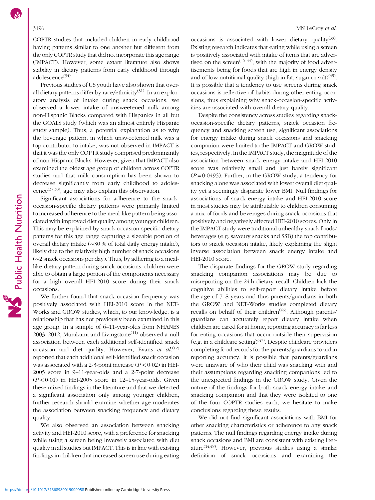COPTR studies that included children in early childhood having patterns similar to one another but different from the only COPTR study that did not incorporate this age range (IMPACT). However, some extant literature also shows stability in dietary patterns from early childhood through adolescence<sup>(34)</sup>.

Previous studies of US youth have also shown that overall dietary patterns differ by race/ethnicity<sup>(31)</sup>. In an exploratory analysis of intake during snack occasions, we observed a lower intake of unsweetened milk among non-Hispanic Blacks compared with Hispanics in all but the GOALS study (which was an almost entirely Hispanic study sample). Thus, a potential explanation as to why the beverage pattern, in which unsweetened milk was a top contributor to intake, was not observed in IMPACT is that it was the only COPTR study comprised predominantly of non-Hispanic Blacks. However, given that IMPACT also examined the oldest age group of children across COPTR studies and that milk consumption has been shown to decrease significantly from early childhood to adolescence<sup> $(37,38)$ </sup>, age may also explain this observation.

Significant associations for adherence to the snackoccasion-specific dietary patterns were primarily limited to increased adherence to the meal-like pattern being associated with improved diet quality among younger children. This may be explained by snack-occasion-specific dietary patterns for this age range capturing a sizeable portion of overall dietary intake (∼30 % of total daily energy intake), likely due to the relatively high number of snack occasions (∼2 snack occasions per day). Thus, by adhering to a meallike dietary pattern during snack occasions, children were able to obtain a large portion of the components necessary for a high overall HEI-2010 score during their snack occasions.

We further found that snack occasion frequency was positively associated with HEI-2010 score in the NET-Works and GROW studies, which, to our knowledge, is a relationship that has not previously been examined in this age group. In a sample of 6–11-year-olds from NHANES 2003–2012, Murakami and Livingstone<sup> $(11)$ </sup> observed a null association between each additional self-identified snack occasion and diet quality. However, Evans et  $al$ .<sup>(12)</sup> reported that each additional self-identified snack occasion was associated with a 2⋅3-point increase (P < 0⋅02) in HEI-2005 score in 9–11-year-olds and a 2⋅7-point decrease  $(P < 0.01)$  in HEI-2005 score in 12–15-year-olds. Given these mixed findings in the literature and that we detected a significant association only among younger children, further research should examine whether age moderates the association between snacking frequency and dietary quality.

We also observed an association between snacking activity and HEI-2010 score, with a preference for snacking while using a screen being inversely associated with diet quality in all studies but IMPACT. This is in line with existing findings in children that increased screen use during eating occasions is associated with lower dietary quality<sup>(39)</sup>. Existing research indicates that eating while using a screen is positively associated with intake of items that are advertised on the screen<sup> $(40-44)$ </sup>, with the majority of food advertisements being for foods that are high in energy density and of low nutritional quality (high in fat, sugar or salt)<sup>(45)</sup>. It is possible that a tendency to use screens during snack occasions is reflective of habits during other eating occasions, thus explaining why snack-occasion-specific activities are associated with overall dietary quality.

Despite the consistency across studies regarding snackoccasion-specific dietary patterns, snack occasion frequency and snacking screen use, significant associations for energy intake during snack occasions and snacking companion were limited to the IMPACT and GROW studies, respectively. In the IMPACT study, the magnitude of the association between snack energy intake and HEI-2010 score was relatively small and just barely significant  $(P=0.0495)$ . Further, in the GROW study, a tendency for snacking alone was associated with lower overall diet quality yet a seemingly disparate lower BMI. Null findings for associations of snack energy intake and HEI-2010 score in most studies may be attributable to children consuming a mix of foods and beverages during snack occasions that positively and negatively affected HEI-2010 scores. Only in the IMPACT study were traditional unhealthy snack foods/ beverages (e.g. savoury snacks and SSB) the top contributors to snack occasion intake, likely explaining the slight inverse association between snack energy intake and HEI-2010 score.

The disparate findings for the GROW study regarding snacking companion associations may be due to misreporting on the 24 h dietary recall. Children lack the cognitive abilities to self-report dietary intake before the age of 7–8 years and thus parents/guardians in both the GROW and NET-Works studies completed dietary recalls on behalf of their children<sup> $(46)$ </sup>. Although parents/ guardians can accurately report dietary intake when children are cared for at home, reporting accuracy is far less for eating occasions that occur outside their supervision (e.g. in a childcare setting) $(47)$ . Despite childcare providers completing food records for the parents/guardians to aid in reporting accuracy, it is possible that parents/guardians were unaware of who their child was snacking with and their assumptions regarding snacking companions led to the unexpected findings in the GROW study. Given the nature of the findings for both snack energy intake and snacking companion and that they were isolated to one of the four COPTR studies each, we hesitate to make conclusions regarding these results.

We did not find significant associations with BMI for other snacking characteristics or adherence to any snack patterns. The null findings regarding energy intake during snack occasions and BMI are consistent with existing literature<sup> $(14,48)$ </sup>. However, previous studies using a similar definition of snack occasions and examining the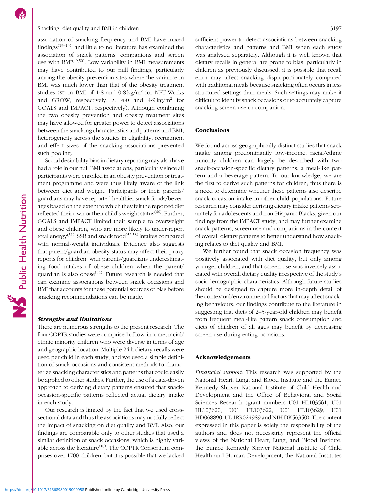#### Snacking, diet quality and BMI in children 3197

association of snacking frequency and BMI have mixed findings<sup> $(13-15)$ </sup>, and little to no literature has examined the association of snack patterns, companions and screen use with BMI(49,50). Low variability in BMI measurements may have contributed to our null findings, particularly among the obesity prevention sites where the variance in BMI was much lower than that of the obesity treatment studies (SD in BMI of 1⋅8 and  $0.8 \text{ kg/m}^2$  for NET-Works and GROW, respectively, v. 4⋅0 and  $4·9$  kg/m<sup>2</sup> for GOALS and IMPACT, respectively). Although combining the two obesity prevention and obesity treatment sites may have allowed for greater power to detect associations between the snacking characteristics and patterns and BMI, heterogeneity across the studies in eligibility, recruitment and effect sizes of the snacking associations prevented such pooling.

Social desirability bias in dietary reporting may also have had a role in our null BMI associations, particularly since all participants were enrolled in an obesity prevention or treatment programme and were thus likely aware of the link between diet and weight. Participants or their parents/ guardians may have reported healthier snack foods/beverages based on the extent to which they felt the reported diet reflected their own or their child's weight status<sup>(46)</sup>. Further, GOALS and IMPACT limited their sample to overweight and obese children, who are more likely to under-report total energy<sup>(51)</sup>, SSB and snack food<sup>(52,53)</sup> intakes compared with normal-weight individuals. Evidence also suggests that parent/guardian obesity status may affect their proxy reports for children, with parents/guardians underestimating food intakes of obese children when the parent/ guardian is also obese<sup> $(54)$ </sup>. Future research is needed that can examine associations between snack occasions and BMI that accounts for these potential sources of bias before snacking recommendations can be made.

#### Strengths and limitations

There are numerous strengths to the present research. The four COPTR studies were comprised of low-income, racial/ ethnic minority children who were diverse in terms of age and geographic location. Multiple 24 h dietary recalls were used per child in each study, and we used a simple definition of snack occasions and consistent methods to characterize snacking characteristics and patterns that could easily be applied to other studies. Further, the use of a data-driven approach to deriving dietary patterns ensured that snackoccasion-specific patterns reflected actual dietary intake in each study.

Our research is limited by the fact that we used crosssectional data and thus the associations may not fully reflect the impact of snacking on diet quality and BMI. Also, our findings are comparable only to other studies that used a similar definition of snack occasions, which is highly variable across the literature<sup> $(10)$ </sup>. The COPTR Consortium comprises over 1700 children, but it is possible that we lacked sufficient power to detect associations between snacking characteristics and patterns and BMI when each study was analysed separately. Although it is well known that dietary recalls in general are prone to bias, particularly in children as previously discussed, it is possible that recall error may affect snacking disproportionately compared with traditional meals because snacking often occurs in less structured settings than meals. Such settings may make it difficult to identify snack occasions or to accurately capture snacking screen use or companion.

#### Conclusions

We found across geographically distinct studies that snack intake among predominantly low-income, racial/ethnic minority children can largely be described with two snack-occasion-specific dietary patterns: a meal-like pattern and a beverage pattern. To our knowledge, we are the first to derive such patterns for children; thus there is a need to determine whether these patterns also describe snack occasion intake in other child populations. Future research may consider deriving dietary intake patterns separately for adolescents and non-Hispanic Blacks, given our findings from the IMPACT study, and may further examine snack patterns, screen use and companions in the context of overall dietary patterns to better understand how snacking relates to diet quality and BMI.

We further found that snack occasion frequency was positively associated with diet quality, but only among younger children, and that screen use was inversely associated with overall dietary quality irrespective of the study's sociodemographic characteristics. Although future studies should be designed to capture more in-depth detail of the contextual/environmental factors that may affect snacking behaviours, our findings contribute to the literature in suggesting that diets of 2–5-year-old children may benefit from frequent meal-like pattern snack consumption and diets of children of all ages may benefit by decreasing screen use during eating occasions.

#### Acknowledgements

Financial support: This research was supported by the National Heart, Lung, and Blood Institute and the Eunice Kennedy Shriver National Institute of Child Health and Development and the Office of Behavioral and Social Sciences Research (grant numbers U01 HL103561, U01 HL103620, U01 HL103622, U01 HL103629, U01 HD068890, UL 1RR024989 and NIH DK56350). The content expressed in this paper is solely the responsibility of the authors and does not necessarily represent the official views of the National Heart, Lung, and Blood Institute, the Eunice Kennedy Shriver National Institute of Child Health and Human Development, the National Institutes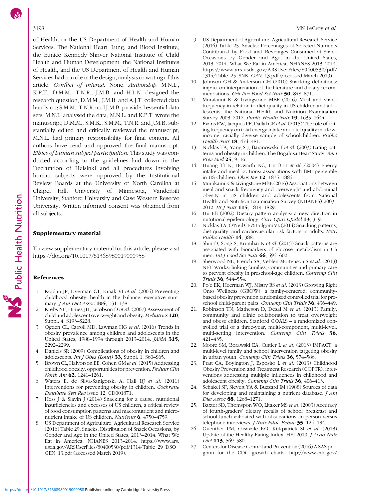# of Health, or the US Department of Health and Human Services. The National Heart, Lung, and Blood Institute, the Eunice Kennedy Shriver National Institute of Child Health and Human Development, the National Institutes of Health, and the US Department of Health and Human Services had no role in the design, analysis or writing of this article. Conflict of interest: None. Authorship: M.N.L., K.P.T., D.M.M., T.N.R., J.M.B. and H.L.N. designed the research question; D.M.M., J.M.B. and A.J.T. collected data hands-on; S.M.M., T.N.R. and J.M.B. provided essential data sets; M.N.L. analysed the data; M.N.L. and K.P.T. wrote the manuscript; D.M.M., S.M.K., S.M.M., T.N.R. and J.M.B. substantially edited and critically reviewed the manuscript; M.N.L. had primary responsibility for final content. All authors have read and approved the final manuscript. 3198 MN LeCroy et al.

Ethics of human subject participation: This study was conducted according to the guidelines laid down in the Declaration of Helsinki and all procedures involving human subjects were approved by the Institutional Review Boards at the University of North Carolina at Chapel Hill, University of Minnesota, Vanderbilt University, Stanford University and Case Western Reserve University. Written informed consent was obtained from all subjects.

## Supplementary material

To view supplementary material for this article, please visit <https://doi.org/10.1017/S1368980019000958>

# References

- 1. Koplan JP, Liverman CT, Kraak VI et al. (2005) Preventing childhood obesity: health in the balance: executive summary. *J Am Diet Assoc* **105**, 131-138.
- 2. Krebs NF, Himes JH, Jacobson D et al. (2007) Assessment of child and adolescent overweight and obesity. Pediatrics 120, Suppl. 4, S193–S228.
- 3. Ogden CL, Carroll MD, Lawman HG et al. (2016) Trends in obesity prevalence among children and adolescents in the United States, 1988–1994 through 2013–2014. JAMA 315, 2292–2299.
- 4. Daniels SR (2009) Complications of obesity in children and adolescents. Int J Obes (Lond) 33, Suppl. 1, S60–S65.
- Brown CL, Halvorson EE, Cohen GM et al. (2015) Addressing childhood obesity: opportunities for prevention. Pediatr Clin North Am 62, 1241–1261.
- 6. Waters E, de Silva-Sanigorski A, Hall BJ et al. (2011) Interventions for preventing obesity in children. Cochrane Database Syst Rev issue 12, CD001871.
- 7. Hess J & Slavin J (2014) Snacking for a cause: nutritional insufficiencies and excesses of US children, a critical review of food consumption patterns and macronutrient and micronutrient intake of US children. Nutrients 6, 4750–4759.
- US Department of Agriculture, Agricultural Research Service (2016) Table 29. Snacks: Distribution of Snack Occasions, by Gender and Age in the United States, 2013–2014. What We Eat in America, NHANES 2013–2014. [https://www.ars.](https://www.ars.usda.gov/ARSUserFiles/80400530/pdf/1314/Table_29_DSO_GEN_13.pdf) [usda.gov/ARSUserFiles/80400530/pdf/1314/Table\\_29\\_DSO\\_](https://www.ars.usda.gov/ARSUserFiles/80400530/pdf/1314/Table_29_DSO_GEN_13.pdf) [GEN\\_13.pdf](https://www.ars.usda.gov/ARSUserFiles/80400530/pdf/1314/Table_29_DSO_GEN_13.pdf) (accessed March 2019).
- 9. US Department of Agriculture, Agricultural Research Service (2016) Table 25. Snacks: Percentages of Selected Nutrients Contributed by Food and Beverages Consumed at Snack Occasions by Gender and Age, in the United States, 2013–2014. What We Eat in America, NHANES 2013–2014. [https://www.ars.usda.gov/ARSUserFiles/80400530/pdf/](https://www.ars.usda.gov/ARSUserFiles/80400530/pdf/1314/Table_25_SNK_GEN_13.pdf) [1314/Table\\_25\\_SNK\\_GEN\\_13.pdf](https://www.ars.usda.gov/ARSUserFiles/80400530/pdf/1314/Table_25_SNK_GEN_13.pdf) (accessed March 2019).
- 10. Johnson GH & Anderson GH (2010) Snacking definitions: impact on interpretation of the literature and dietary recommendations. Crit Rev Food Sci Nutr 50, 848–871.
- 11. Murakami K & Livingstone MBE (2016) Meal and snack frequency in relation to diet quality in US children and adolescents: the National Health and Nutrition Examination Survey 2003–2012. Public Health Nutr 19, 1635–1644.
- 12. Evans EW, Jacques PF, Dallal GE et al. (2015) The role of eating frequency on total energy intake and diet quality in a lowincome, racially diverse sample of schoolchildren. Public Health Nutr **18**, 474-481.
- 13. Nicklas TA, Yang S-J, Baranowski T et al. (2003) Eating patterns and obesity in children. The Bogalusa Heart Study. Am J Prev Med 25, 9-16.
- 14. Huang TT-K, Howarth NC, Lin B-H et al. (2004) Energy intake and meal portions: associations with BMI percentile in US children. Obes Res 12, 1875–1885.
- 15. Murakami K & Livingstone MBE (2016) Associations between meal and snack frequency and overweight and abdominal obesity in US children and adolescents from National Health and Nutrition Examination Survey (NHANES) 2003– 2012. Br J Nutr 115, 1819–1829.
- 16. Hu FB (2002) Dietary pattern analysis: a new direction in nutritional epidemiology. Curr Opin Lipidol 13, 3–9.
- 17. Nicklas TA, O'Neil CE & Fulgoni VL (2014) Snacking patterns, diet quality, and cardiovascular risk factors in adults. BMC Public Health 14, 388.
- 18. Shin D, Song S, Krumhar K et al. (2015) Snack patterns are associated with biomarkers of glucose metabolism in US men. *Int J Food Sci Nutr* **66**, 595–602.
- 19. Sherwood NE, French SA, Veblen-Mortenson S et al. (2013) NET-Works: linking families, communities and primary care to prevent obesity in preschool-age children. Contemp Clin Trials 36, 544–554.
- 20. Po'e EK, Heerman WJ, Mistry RS et al. (2013) Growing Right Onto Wellness (GROW): a family-centered, communitybased obesity prevention randomized controlled trial for preschool child-parent pairs. Contemp Clin Trials 36, 436–449.
- Robinson TN, Matheson D, Desai M et al. (2013) Family, community and clinic collaboration to treat overweight and obese children: Stanford GOALS – a randomized controlled trial of a three-year, multi-component, multi-level, multi-setting intervention. Contemp Clin Trials 36, 421–435.
- 22. Moore SM, Borawski EA, Cuttler L et al. (2013) IMPACT: a multi-level family and school intervention targeting obesity in urban youth. Contemp Clin Trials 36, 574-586.
- 23. Pratt CA, Boyington J, Esposito L et al. (2013) Childhood Obesity Prevention and Treatment Research (COPTR): interventions addressing multiple influences in childhood and adolescent obesity. Contemp Clin Trials 36, 406–413.
- 24. Schakel SF, Sievert YA & Buzzard IM (1988) Sources of data for developing and maintaining a nutrient database. J Am Diet Assoc **88**, 1268–1271.
- 25. Baxter SD, Thomspon WO, Litaker MS et al. (2003) Accuracy of fourth-graders' dietary recalls of school breakfast and school lunch validated with observations: in-person versus telephone interviews. *J Nutr Educ Behav* 35, 124-134.
- 26. Guenther PM, Casavale KO, Kirkpatrick SI et al. (2013) Update of the Healthy Eating Index: HEI-2010. J Acad Nutr Diet **113**, 569–580.
- 27. Centers for Disease Control and Prevention (2016) A SAS program for the CDC growth charts. [http://www.cdc.gov/](http://www.cdc.gov/nccdphp/dnpao/growthcharts/resources/sas.htm)